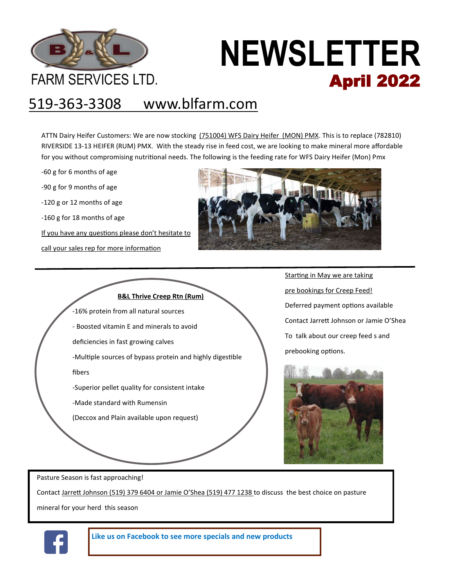

# **NEWSLETTER** FARM SERVICES LTD. **April 2022**

## 519-363-3308 www.blfarm.com

ATTN Dairy Heifer Customers: We are now stocking (751004) WFS Dairy Heifer (MON) PMX. This is to replace (782810) RIVERSIDE 13-13 HEIFER (RUM) PMX. With the steady rise in feed cost, we are looking to make mineral more affordable for you without compromising nutritional needs. The following is the feeding rate for WFS Dairy Heifer (Mon) Pmx

-60 g for 6 months of age

-90 g for 9 months of age

-120 g or 12 months of age

-160 g for 18 months of age

If you have any questions please don't hesitate to

call your sales rep for more information





Starting in May we are taking pre bookings for Creep Feed! Deferred payment options available Contact Jarrett Johnson or Jamie O'Shea To talk about our creep feed s and prebooking options.



Pasture Season is fast approaching!

Contact Jarrett Johnson (519) 379 6404 or Jamie O'Shea (519) 477 1238 to discuss the best choice on pasture

mineral for your herd this season



**Like us on Facebook to see more specials and new products**